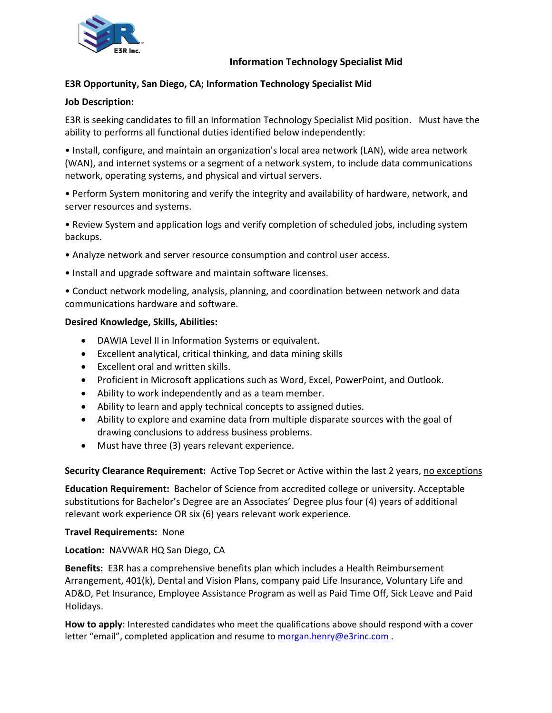

## **Information Technology Specialist Mid**

# **E3R Opportunity, San Diego, CA; Information Technology Specialist Mid**

### **Job Description:**

E3R is seeking candidates to fill an Information Technology Specialist Mid position. Must have the ability to performs all functional duties identified below independently:

• Install, configure, and maintain an organization's local area network (LAN), wide area network (WAN), and internet systems or a segment of a network system, to include data communications network, operating systems, and physical and virtual servers.

• Perform System monitoring and verify the integrity and availability of hardware, network, and server resources and systems.

• Review System and application logs and verify completion of scheduled jobs, including system backups.

- Analyze network and server resource consumption and control user access.
- Install and upgrade software and maintain software licenses.

• Conduct network modeling, analysis, planning, and coordination between network and data communications hardware and software.

#### **Desired Knowledge, Skills, Abilities:**

- DAWIA Level II in Information Systems or equivalent.
- Excellent analytical, critical thinking, and data mining skills
- Excellent oral and written skills.
- Proficient in Microsoft applications such as Word, Excel, PowerPoint, and Outlook.
- Ability to work independently and as a team member.
- Ability to learn and apply technical concepts to assigned duties.
- Ability to explore and examine data from multiple disparate sources with the goal of drawing conclusions to address business problems.
- Must have three (3) years relevant experience.

**Security Clearance Requirement:** Active Top Secret or Active within the last 2 years, no exceptions

**Education Requirement:** Bachelor of Science from accredited college or university. Acceptable substitutions for Bachelor's Degree are an Associates' Degree plus four (4) years of additional relevant work experience OR six (6) years relevant work experience.

#### **Travel Requirements:** None

#### **Location:** NAVWAR HQ San Diego, CA

**Benefits:** E3R has a comprehensive benefits plan which includes a Health Reimbursement Arrangement, 401(k), Dental and Vision Plans, company paid Life Insurance, Voluntary Life and AD&D, Pet Insurance, Employee Assistance Program as well as Paid Time Off, Sick Leave and Paid Holidays.

**How to apply**: Interested candidates who meet the qualifications above should respond with a cover letter "email", completed application and resume to [morgan.henry@e3rinc.com](mailto:morgan.henry@e3rinc.com) .